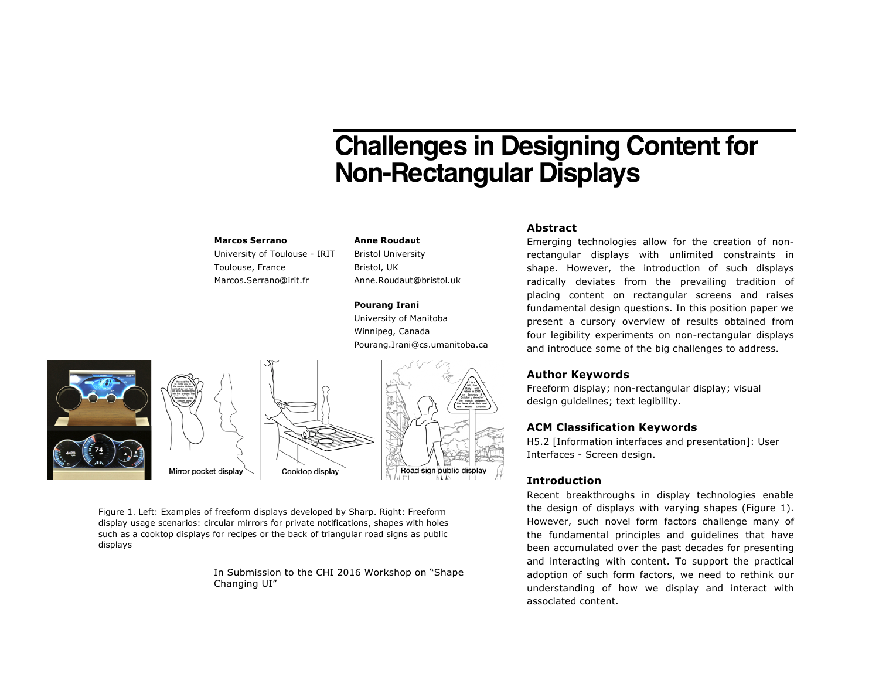# **Challenges in Designing Content for Non-Rectangular Displays**

#### **Marcos Serrano**

University of Toulouse - IRIT Toulouse, France Marcos.Serrano@irit.fr

**Anne Roudaut** Bristol University Bristol, UK Anne.Roudaut@bristol.uk

#### **Pourang Irani**

University of Manitoba Winnipeg, Canada Pourang.Irani@cs.umanitoba.ca



Figure 1. Left: Examples of freeform displays developed by Sharp. Right: Freeform display usage scenarios: circular mirrors for private notifications, shapes with holes such as a cooktop displays for recipes or the back of triangular road signs as public displays

> In Submission to the CHI 2016 Workshop on "Shape Changing UI"

## **Abstract**

Emerging technologies allow for the creation of nonrectangular displays with unlimited constraints in shape. However, the introduction of such displays radically deviates from the prevailing tradition of placing content on rectangular screens and raises fundamental design questions. In this position paper we present a cursory overview of results obtained from four legibility experiments on non-rectangular displays and introduce some of the big challenges to address.

## **Author Keywords**

Freeform display; non-rectangular display; visual design guidelines; text legibility.

## **ACM Classification Keywords**

H5.2 [Information interfaces and presentation]: User Interfaces - Screen design.

# **Introduction**

Recent breakthroughs in display technologies enable the design of displays with varying shapes (Figure 1). However, such novel form factors challenge many of the fundamental principles and guidelines that have been accumulated over the past decades for presenting and interacting with content. To support the practical adoption of such form factors, we need to rethink our understanding of how we display and interact with associated content.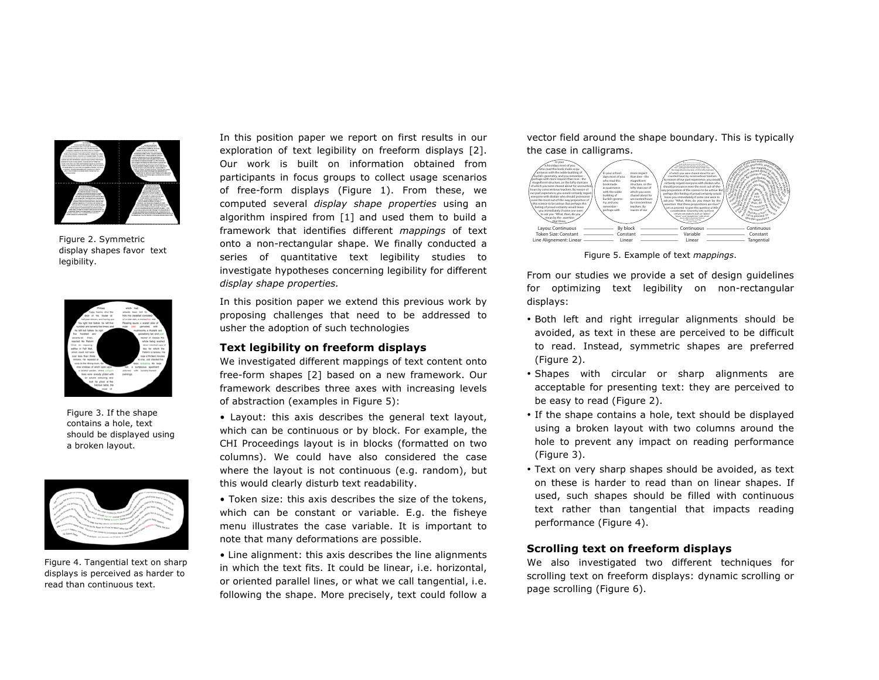

display shapes favor text legibility.



Figure 3. If the shape contains a hole, text should be displayed using a broken layout.



Figure 4. Tangential text on sharp displays is perceived as harder to read than continuous text.

In this position paper we report on first results in our exploration of text legibility on freeform displays [2]. Our work is built on information obtained from participants in focus groups to collect usage scenarios of free-form displays (Figure 1). From these, we computed several *display shape properties* using an algorithm inspired from [1] and used them to build a framework that identifies different *mappings* of text Figure 2. Symmetric onto a non-rectangular shape. We finally conducted a state of the Alignement Linear and Linear and Linear and Linear and Linear and Linear and Tangential series of quantitative text legibility studies to investigate hypotheses concerning legibility for different *display shape properties.*

> In this position paper we extend this previous work by proposing challenges that need to be addressed to usher the adoption of such technologies

### **Text legibility on freeform displays**

We investigated different mappings of text content onto free-form shapes [2] based on a new framework. Our framework describes three axes with increasing levels of abstraction (examples in Figure 5):

- Layout: this axis describes the general text layout, which can be continuous or by block. For example, the CHI Proceedings layout is in blocks (formatted on two columns). We could have also considered the case where the layout is not continuous (e.g. random), but this would clearly disturb text readability.
- Token size: this axis describes the size of the tokens, which can be constant or variable. E.g. the fisheye menu illustrates the case variable. It is important to note that many deformations are possible.
- Line alignment: this axis describes the line alignments in which the text fits. It could be linear, i.e. horizontal, or oriented parallel lines, or what we call tangential, i.e. following the shape. More precisely, text could follow a

vector field around the shape boundary. This is typically the case in calligrams.



Figure 5. Example of text *mappings*.

From our studies we provide a set of design guidelines for optimizing text legibility on non-rectangular displays:

- Both left and right irregular alignments should be avoided, as text in these are perceived to be difficult to read. Instead, symmetric shapes are preferred (Figure 2).
- Shapes with circular or sharp alignments are acceptable for presenting text: they are perceived to be easy to read (Figure 2).
- If the shape contains a hole, text should be displayed using a broken layout with two columns around the hole to prevent any impact on reading performance (Figure 3).
- Text on very sharp shapes should be avoided, as text on these is harder to read than on linear shapes. If used, such shapes should be filled with continuous text rather than tangential that impacts reading performance (Figure 4).

## **Scrolling text on freeform displays**

We also investigated two different techniques for scrolling text on freeform displays: dynamic scrolling or page scrolling (Figure 6).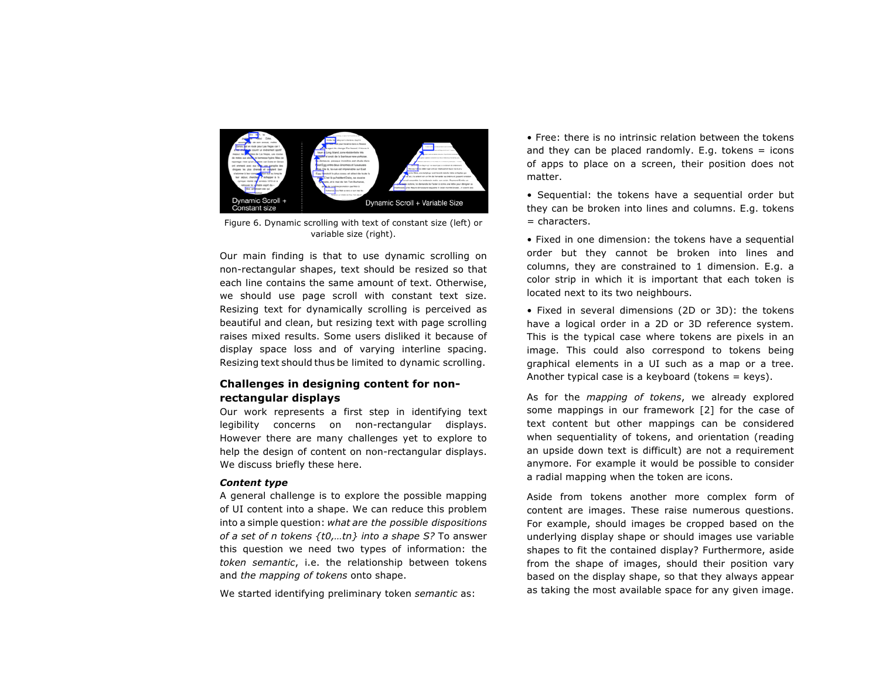

Figure 6. Dynamic scrolling with text of constant size (left) or variable size (right).

Our main finding is that to use dynamic scrolling on non-rectangular shapes, text should be resized so that each line contains the same amount of text. Otherwise, we should use page scroll with constant text size. Resizing text for dynamically scrolling is perceived as beautiful and clean, but resizing text with page scrolling raises mixed results. Some users disliked it because of display space loss and of varying interline spacing. Resizing text should thus be limited to dynamic scrolling.

# **Challenges in designing content for nonrectangular displays**

Our work represents a first step in identifying text legibility concerns on non-rectangular displays. However there are many challenges yet to explore to help the design of content on non-rectangular displays. We discuss briefly these here.

#### *Content type*

A general challenge is to explore the possible mapping of UI content into a shape. We can reduce this problem into a simple question: *what are the possible dispositions of a set of n tokens {t0,…tn} into a shape S?* To answer this question we need two types of information: the *token semantic*, i.e. the relationship between tokens and *the mapping of tokens* onto shape.

We started identifying preliminary token *semantic* as:

• Free: there is no intrinsic relation between the tokens and they can be placed randomly. E.g. tokens  $=$  icons of apps to place on a screen, their position does not matter.

• Sequential: the tokens have a sequential order but they can be broken into lines and columns. E.g. tokens = characters.

• Fixed in one dimension: the tokens have a sequential order but they cannot be broken into lines and columns, they are constrained to 1 dimension. E.g. a color strip in which it is important that each token is located next to its two neighbours.

• Fixed in several dimensions (2D or 3D): the tokens have a logical order in a 2D or 3D reference system. This is the typical case where tokens are pixels in an image. This could also correspond to tokens being graphical elements in a UI such as a map or a tree. Another typical case is a keyboard (tokens  $=$  keys).

As for the *mapping of tokens*, we already explored some mappings in our framework [2] for the case of text content but other mappings can be considered when sequentiality of tokens, and orientation (reading an upside down text is difficult) are not a requirement anymore. For example it would be possible to consider a radial mapping when the token are icons.

Aside from tokens another more complex form of content are images. These raise numerous questions. For example, should images be cropped based on the underlying display shape or should images use variable shapes to fit the contained display? Furthermore, aside from the shape of images, should their position vary based on the display shape, so that they always appear as taking the most available space for any given image.